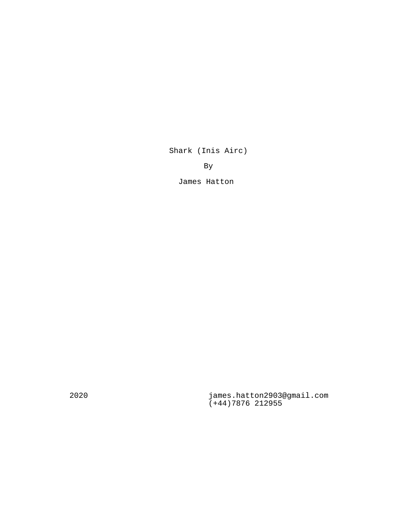Shark (Inis Airc)

By

James Hatton

2020 james.hatton2903@gmail.com (+44)7876 212955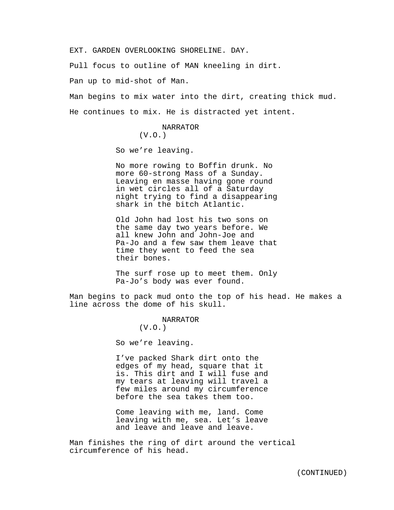EXT. GARDEN OVERLOOKING SHORELINE. DAY.

Pull focus to outline of MAN kneeling in dirt.

Pan up to mid-shot of Man.

Man begins to mix water into the dirt, creating thick mud. He continues to mix. He is distracted yet intent.

> NARRATOR (V.O.)

So we're leaving.

No more rowing to Boffin drunk. No more 60-strong Mass of a Sunday. Leaving en masse having gone round in wet circles all of a Saturday night trying to find a disappearing shark in the bitch Atlantic.

Old John had lost his two sons on the same day two years before. We all knew John and John-Joe and Pa-Jo and a few saw them leave that time they went to feed the sea their bones.

The surf rose up to meet them. Only Pa-Jo's body was ever found.

Man begins to pack mud onto the top of his head. He makes a line across the dome of his skull.

> NARRATOR (V.O.)

So we're leaving.

I've packed Shark dirt onto the edges of my head, square that it is. This dirt and I will fuse and my tears at leaving will travel a few miles around my circumference before the sea takes them too.

Come leaving with me, land. Come leaving with me, sea. Let's leave and leave and leave and leave.

Man finishes the ring of dirt around the vertical circumference of his head.